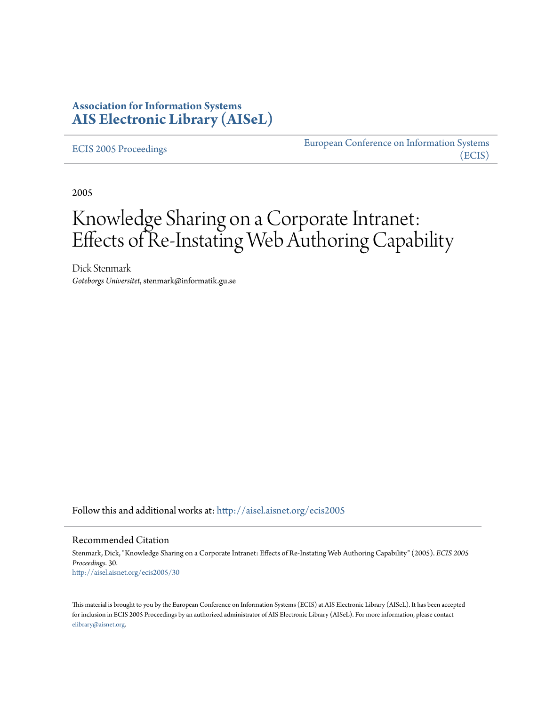## **Association for Information Systems [AIS Electronic Library \(AISeL\)](http://aisel.aisnet.org?utm_source=aisel.aisnet.org%2Fecis2005%2F30&utm_medium=PDF&utm_campaign=PDFCoverPages)**

[ECIS 2005 Proceedings](http://aisel.aisnet.org/ecis2005?utm_source=aisel.aisnet.org%2Fecis2005%2F30&utm_medium=PDF&utm_campaign=PDFCoverPages)

[European Conference on Information Systems](http://aisel.aisnet.org/ecis?utm_source=aisel.aisnet.org%2Fecis2005%2F30&utm_medium=PDF&utm_campaign=PDFCoverPages) [\(ECIS\)](http://aisel.aisnet.org/ecis?utm_source=aisel.aisnet.org%2Fecis2005%2F30&utm_medium=PDF&utm_campaign=PDFCoverPages)

2005

# Knowledge Sharing on a Corporate Intranet: Effects of Re-Instating Web Authoring Capability

Dick Stenmark *Goteborgs Universitet*, stenmark@informatik.gu.se

Follow this and additional works at: [http://aisel.aisnet.org/ecis2005](http://aisel.aisnet.org/ecis2005?utm_source=aisel.aisnet.org%2Fecis2005%2F30&utm_medium=PDF&utm_campaign=PDFCoverPages)

#### Recommended Citation

Stenmark, Dick, "Knowledge Sharing on a Corporate Intranet: Effects of Re-Instating Web Authoring Capability" (2005). *ECIS 2005 Proceedings*. 30. [http://aisel.aisnet.org/ecis2005/30](http://aisel.aisnet.org/ecis2005/30?utm_source=aisel.aisnet.org%2Fecis2005%2F30&utm_medium=PDF&utm_campaign=PDFCoverPages)

This material is brought to you by the European Conference on Information Systems (ECIS) at AIS Electronic Library (AISeL). It has been accepted for inclusion in ECIS 2005 Proceedings by an authorized administrator of AIS Electronic Library (AISeL). For more information, please contact [elibrary@aisnet.org.](mailto:elibrary@aisnet.org%3E)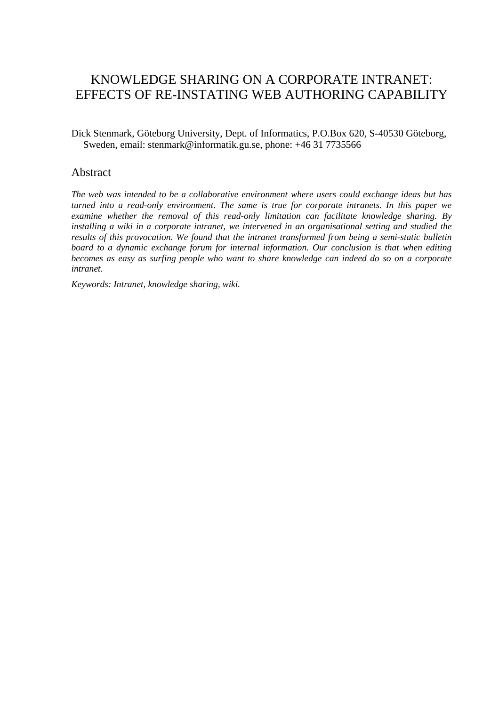# KNOWLEDGE SHARING ON A CORPORATE INTRANET: EFFECTS OF RE-INSTATING WEB AUTHORING CAPABILITY

Dick Stenmark, Göteborg University, Dept. of Informatics, P.O.Box 620, S-40530 Göteborg, Sweden, email: stenmark@informatik.gu.se, phone: +46 31 7735566

#### Abstract

*The web was intended to be a collaborative environment where users could exchange ideas but has turned into a read-only environment. The same is true for corporate intranets. In this paper we examine whether the removal of this read-only limitation can facilitate knowledge sharing. By installing a wiki in a corporate intranet, we intervened in an organisational setting and studied the results of this provocation. We found that the intranet transformed from being a semi-static bulletin board to a dynamic exchange forum for internal information. Our conclusion is that when editing becomes as easy as surfing people who want to share knowledge can indeed do so on a corporate intranet.* 

*Keywords: Intranet, knowledge sharing, wiki.*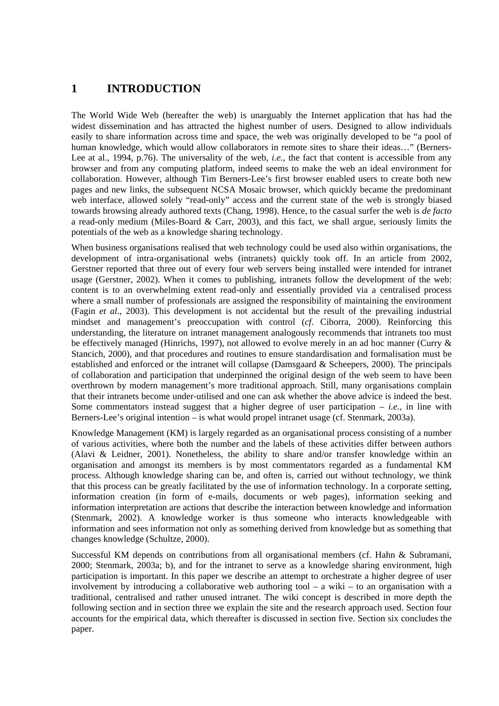### **1 INTRODUCTION**

The World Wide Web (hereafter the web) is unarguably the Internet application that has had the widest dissemination and has attracted the highest number of users. Designed to allow individuals easily to share information across time and space, the web was originally developed to be "a pool of human knowledge, which would allow collaborators in remote sites to share their ideas…" (Berners-Lee at al., 1994, p.76). The universality of the web, *i.e.*, the fact that content is accessible from any browser and from any computing platform, indeed seems to make the web an ideal environment for collaboration. However, although Tim Berners-Lee's first browser enabled users to create both new pages and new links, the subsequent NCSA Mosaic browser, which quickly became the predominant web interface, allowed solely "read-only" access and the current state of the web is strongly biased towards browsing already authored texts (Chang, 1998). Hence, to the casual surfer the web is *de facto* a read-only medium (Miles-Board  $& Carr, 2003$ ), and this fact, we shall argue, seriously limits the potentials of the web as a knowledge sharing technology.

When business organisations realised that web technology could be used also within organisations, the development of intra-organisational webs (intranets) quickly took off. In an article from 2002, Gerstner reported that three out of every four web servers being installed were intended for intranet usage (Gerstner, 2002). When it comes to publishing, intranets follow the development of the web: content is to an overwhelming extent read-only and essentially provided via a centralised process where a small number of professionals are assigned the responsibility of maintaining the environment (Fagin *et al*., 2003). This development is not accidental but the result of the prevailing industrial mindset and management's preoccupation with control (*cf*. Ciborra, 2000). Reinforcing this understanding, the literature on intranet management analogously recommends that intranets too must be effectively managed (Hinrichs, 1997), not allowed to evolve merely in an ad hoc manner (Curry & Stancich, 2000), and that procedures and routines to ensure standardisation and formalisation must be established and enforced or the intranet will collapse (Damsgaard & Scheepers, 2000). The principals of collaboration and participation that underpinned the original design of the web seem to have been overthrown by modern management's more traditional approach. Still, many organisations complain that their intranets become under-utilised and one can ask whether the above advice is indeed the best. Some commentators instead suggest that a higher degree of user participation  $-$  *i.e.*, in line with Berners-Lee's original intention – is what would propel intranet usage (cf. Stenmark, 2003a).

Knowledge Management (KM) is largely regarded as an organisational process consisting of a number of various activities, where both the number and the labels of these activities differ between authors (Alavi & Leidner, 2001). Nonetheless, the ability to share and/or transfer knowledge within an organisation and amongst its members is by most commentators regarded as a fundamental KM process. Although knowledge sharing can be, and often is, carried out without technology, we think that this process can be greatly facilitated by the use of information technology. In a corporate setting, information creation (in form of e-mails, documents or web pages), information seeking and information interpretation are actions that describe the interaction between knowledge and information (Stenmark, 2002). A knowledge worker is thus someone who interacts knowledgeable with information and sees information not only as something derived from knowledge but as something that changes knowledge (Schultze, 2000).

Successful KM depends on contributions from all organisational members (cf. Hahn & Subramani, 2000; Stenmark, 2003a; b), and for the intranet to serve as a knowledge sharing environment, high participation is important. In this paper we describe an attempt to orchestrate a higher degree of user involvement by introducing a collaborative web authoring tool  $-$  a wiki  $-$  to an organisation with a traditional, centralised and rather unused intranet. The wiki concept is described in more depth the following section and in section three we explain the site and the research approach used. Section four accounts for the empirical data, which thereafter is discussed in section five. Section six concludes the paper.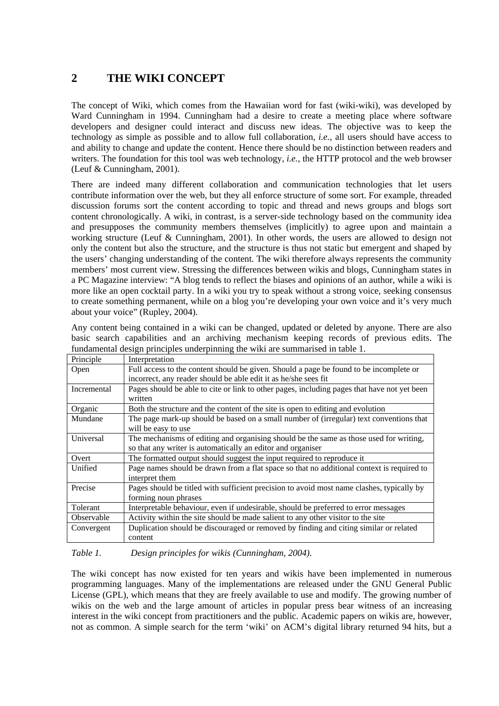# **2 THE WIKI CONCEPT**

The concept of Wiki, which comes from the Hawaiian word for fast (wiki-wiki), was developed by Ward Cunningham in 1994. Cunningham had a desire to create a meeting place where software developers and designer could interact and discuss new ideas. The objective was to keep the technology as simple as possible and to allow full collaboration, *i.e.*, all users should have access to and ability to change and update the content. Hence there should be no distinction between readers and writers. The foundation for this tool was web technology, *i.e.*, the HTTP protocol and the web browser (Leuf & Cunningham, 2001).

There are indeed many different collaboration and communication technologies that let users contribute information over the web, but they all enforce structure of some sort. For example, threaded discussion forums sort the content according to topic and thread and news groups and blogs sort content chronologically. A wiki, in contrast, is a server-side technology based on the community idea and presupposes the community members themselves (implicitly) to agree upon and maintain a working structure (Leuf & Cunningham, 2001). In other words, the users are allowed to design not only the content but also the structure, and the structure is thus not static but emergent and shaped by the users' changing understanding of the content. The wiki therefore always represents the community members' most current view. Stressing the differences between wikis and blogs, Cunningham states in a PC Magazine interview: "A blog tends to reflect the biases and opinions of an author, while a wiki is more like an open cocktail party. In a wiki you try to speak without a strong voice, seeking consensus to create something permanent, while on a blog you're developing your own voice and it's very much about your voice" (Rupley, 2004).

|             | basic search capabilities and an archiving mechanism keeping records of previous edits. The |  |  |  |  |  |  |  |  |  |
|-------------|---------------------------------------------------------------------------------------------|--|--|--|--|--|--|--|--|--|
|             | fundamental design principles underpinning the wiki are summarised in table 1.              |  |  |  |  |  |  |  |  |  |
| Principle   | Interpretation                                                                              |  |  |  |  |  |  |  |  |  |
| Open        | Full access to the content should be given. Should a page be found to be incomplete or      |  |  |  |  |  |  |  |  |  |
|             | incorrect, any reader should be able edit it as he/she sees fit                             |  |  |  |  |  |  |  |  |  |
| Incremental | Pages should be able to cite or link to other pages, including pages that have not yet been |  |  |  |  |  |  |  |  |  |
|             | written                                                                                     |  |  |  |  |  |  |  |  |  |
| Organic     | Both the structure and the content of the site is open to editing and evolution             |  |  |  |  |  |  |  |  |  |
| Mundane     | The page mark-up should be based on a small number of (irregular) text conventions that     |  |  |  |  |  |  |  |  |  |
|             | will be easy to use                                                                         |  |  |  |  |  |  |  |  |  |
| Universal   | The mechanisms of editing and organising should be the same as those used for writing,      |  |  |  |  |  |  |  |  |  |
|             | so that any writer is automatically an editor and organiser                                 |  |  |  |  |  |  |  |  |  |
| Overt       | The formatted output should suggest the input required to reproduce it                      |  |  |  |  |  |  |  |  |  |
| Unified     | Page names should be drawn from a flat space so that no additional context is required to   |  |  |  |  |  |  |  |  |  |
|             | interpret them                                                                              |  |  |  |  |  |  |  |  |  |
| Precise     | Pages should be titled with sufficient precision to avoid most name clashes, typically by   |  |  |  |  |  |  |  |  |  |
|             | forming noun phrases                                                                        |  |  |  |  |  |  |  |  |  |
| Tolerant    | Interpretable behaviour, even if undesirable, should be preferred to error messages         |  |  |  |  |  |  |  |  |  |
| Observable  | Activity within the site should be made salient to any other visitor to the site            |  |  |  |  |  |  |  |  |  |

Any content being contained in a wiki can be changed, updated or deleted by anyone. There are also basic search capabilities and an archiving mechanism keeping records of previous edits. The

#### *Table 1. Design principles for wikis (Cunningham, 2004).*

content

The wiki concept has now existed for ten years and wikis have been implemented in numerous programming languages. Many of the implementations are released under the GNU General Public License (GPL), which means that they are freely available to use and modify. The growing number of wikis on the web and the large amount of articles in popular press bear witness of an increasing interest in the wiki concept from practitioners and the public. Academic papers on wikis are, however, not as common. A simple search for the term 'wiki' on ACM's digital library returned 94 hits, but a

Convergent Duplication should be discouraged or removed by finding and citing similar or related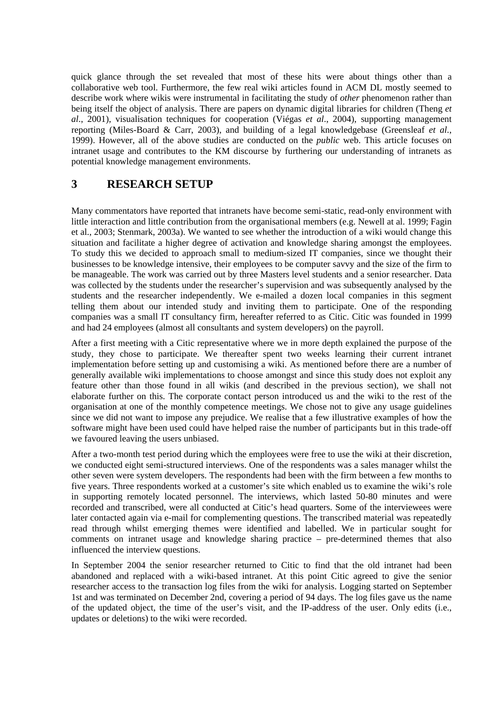quick glance through the set revealed that most of these hits were about things other than a collaborative web tool. Furthermore, the few real wiki articles found in ACM DL mostly seemed to describe work where wikis were instrumental in facilitating the study of *other* phenomenon rather than being itself the object of analysis. There are papers on dynamic digital libraries for children (Theng *et al*., 2001), visualisation techniques for cooperation (Viégas *et al*., 2004), supporting management reporting (Miles-Board & Carr, 2003), and building of a legal knowledgebase (Greensleaf *et al*., 1999). However, all of the above studies are conducted on the *public* web. This article focuses on intranet usage and contributes to the KM discourse by furthering our understanding of intranets as potential knowledge management environments.

## **3 RESEARCH SETUP**

Many commentators have reported that intranets have become semi-static, read-only environment with little interaction and little contribution from the organisational members (e.g. Newell at al. 1999; Fagin et al., 2003; Stenmark, 2003a). We wanted to see whether the introduction of a wiki would change this situation and facilitate a higher degree of activation and knowledge sharing amongst the employees. To study this we decided to approach small to medium-sized IT companies, since we thought their businesses to be knowledge intensive, their employees to be computer savvy and the size of the firm to be manageable. The work was carried out by three Masters level students and a senior researcher. Data was collected by the students under the researcher's supervision and was subsequently analysed by the students and the researcher independently. We e-mailed a dozen local companies in this segment telling them about our intended study and inviting them to participate. One of the responding companies was a small IT consultancy firm, hereafter referred to as Citic. Citic was founded in 1999 and had 24 employees (almost all consultants and system developers) on the payroll.

After a first meeting with a Citic representative where we in more depth explained the purpose of the study, they chose to participate. We thereafter spent two weeks learning their current intranet implementation before setting up and customising a wiki. As mentioned before there are a number of generally available wiki implementations to choose amongst and since this study does not exploit any feature other than those found in all wikis (and described in the previous section), we shall not elaborate further on this. The corporate contact person introduced us and the wiki to the rest of the organisation at one of the monthly competence meetings. We chose not to give any usage guidelines since we did not want to impose any prejudice. We realise that a few illustrative examples of how the software might have been used could have helped raise the number of participants but in this trade-off we favoured leaving the users unbiased.

After a two-month test period during which the employees were free to use the wiki at their discretion, we conducted eight semi-structured interviews. One of the respondents was a sales manager whilst the other seven were system developers. The respondents had been with the firm between a few months to five years. Three respondents worked at a customer's site which enabled us to examine the wiki's role in supporting remotely located personnel. The interviews, which lasted 50-80 minutes and were recorded and transcribed, were all conducted at Citic's head quarters. Some of the interviewees were later contacted again via e-mail for complementing questions. The transcribed material was repeatedly read through whilst emerging themes were identified and labelled. We in particular sought for comments on intranet usage and knowledge sharing practice – pre-determined themes that also influenced the interview questions.

In September 2004 the senior researcher returned to Citic to find that the old intranet had been abandoned and replaced with a wiki-based intranet. At this point Citic agreed to give the senior researcher access to the transaction log files from the wiki for analysis. Logging started on September 1st and was terminated on December 2nd, covering a period of 94 days. The log files gave us the name of the updated object, the time of the user's visit, and the IP-address of the user. Only edits (i.e., updates or deletions) to the wiki were recorded.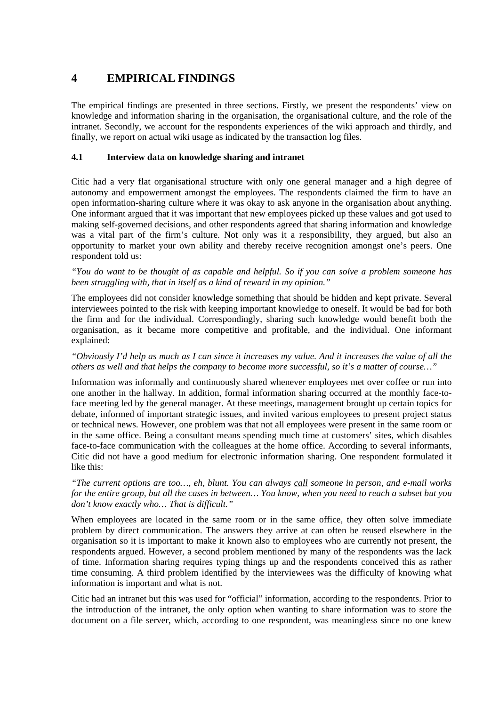## **4 EMPIRICAL FINDINGS**

The empirical findings are presented in three sections. Firstly, we present the respondents' view on knowledge and information sharing in the organisation, the organisational culture, and the role of the intranet. Secondly, we account for the respondents experiences of the wiki approach and thirdly, and finally, we report on actual wiki usage as indicated by the transaction log files.

#### **4.1 Interview data on knowledge sharing and intranet**

Citic had a very flat organisational structure with only one general manager and a high degree of autonomy and empowerment amongst the employees. The respondents claimed the firm to have an open information-sharing culture where it was okay to ask anyone in the organisation about anything. One informant argued that it was important that new employees picked up these values and got used to making self-governed decisions, and other respondents agreed that sharing information and knowledge was a vital part of the firm's culture. Not only was it a responsibility, they argued, but also an opportunity to market your own ability and thereby receive recognition amongst one's peers. One respondent told us:

*"You do want to be thought of as capable and helpful. So if you can solve a problem someone has been struggling with, that in itself as a kind of reward in my opinion."* 

The employees did not consider knowledge something that should be hidden and kept private. Several interviewees pointed to the risk with keeping important knowledge to oneself. It would be bad for both the firm and for the individual. Correspondingly, sharing such knowledge would benefit both the organisation, as it became more competitive and profitable, and the individual. One informant explained:

*"Obviously I'd help as much as I can since it increases my value. And it increases the value of all the others as well and that helps the company to become more successful, so it's a matter of course…"* 

Information was informally and continuously shared whenever employees met over coffee or run into one another in the hallway. In addition, formal information sharing occurred at the monthly face-toface meeting led by the general manager. At these meetings, management brought up certain topics for debate, informed of important strategic issues, and invited various employees to present project status or technical news. However, one problem was that not all employees were present in the same room or in the same office. Being a consultant means spending much time at customers' sites, which disables face-to-face communication with the colleagues at the home office. According to several informants, Citic did not have a good medium for electronic information sharing. One respondent formulated it like this:

*"The current options are too…, eh, blunt. You can always call someone in person, and e-mail works for the entire group, but all the cases in between… You know, when you need to reach a subset but you don't know exactly who… That is difficult."* 

When employees are located in the same room or in the same office, they often solve immediate problem by direct communication. The answers they arrive at can often be reused elsewhere in the organisation so it is important to make it known also to employees who are currently not present, the respondents argued. However, a second problem mentioned by many of the respondents was the lack of time. Information sharing requires typing things up and the respondents conceived this as rather time consuming. A third problem identified by the interviewees was the difficulty of knowing what information is important and what is not.

Citic had an intranet but this was used for "official" information, according to the respondents. Prior to the introduction of the intranet, the only option when wanting to share information was to store the document on a file server, which, according to one respondent, was meaningless since no one knew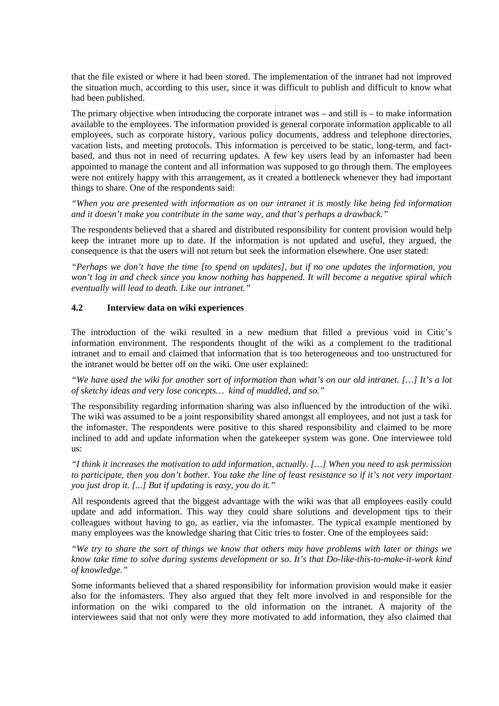that the file existed or where it had been stored. The implementation of the intranet had not improved the situation much, according to this user, since it was difficult to publish and difficult to know what had been published.

The primary objective when introducing the corporate intranet was – and still is – to make information available to the employees. The information provided is general corporate information applicable to all employees, such as corporate history, various policy documents, address and telephone directories, vacation lists, and meeting protocols. This information is perceived to be static, long-term, and factbased, and thus not in need of recurring updates. A few key users lead by an infomaster had been appointed to manage the content and all information was supposed to go through them. The employees were not entirely happy with this arrangement, as it created a bottleneck whenever they had important things to share. One of the respondents said:

*"When you are presented with information as on our intranet it is mostly like being fed information and it doesn't make you contribute in the same way, and that's perhaps a drawback."* 

The respondents believed that a shared and distributed responsibility for content provision would help keep the intranet more up to date. If the information is not updated and useful, they argued, the consequence is that the users will not return but seek the information elsewhere. One user stated:

*"Perhaps we don't have the time [to spend on updates], but if no one updates the information, you won't log in and check since you know nothing has happened. It will become a negative spiral which eventually will lead to death. Like our intranet."* 

#### **4.2 Interview data on wiki experiences**

The introduction of the wiki resulted in a new medium that filled a previous void in Citic's information environment. The respondents thought of the wiki as a complement to the traditional intranet and to email and claimed that information that is too heterogeneous and too unstructured for the intranet would be better off on the wiki. One user explained:

*"We have used the wiki for another sort of information than what's on our old intranet. […] It's a lot of sketchy ideas and very lose concepts… kind of muddled, and so."* 

The responsibility regarding information sharing was also influenced by the introduction of the wiki. The wiki was assumed to be a joint responsibility shared amongst all employees, and not just a task for the infomaster. The respondents were positive to this shared responsibility and claimed to be more inclined to add and update information when the gatekeeper system was gone. One interviewee told us:

*"I think it increases the motivation to add information, actually. […] When you need to ask permission to participate, then you don't bother. You take the line of least resistance so if it's not very important you just drop it. [...] But if updating is easy, you do it."* 

All respondents agreed that the biggest advantage with the wiki was that all employees easily could update and add information. This way they could share solutions and development tips to their colleagues without having to go, as earlier, via the infomaster. The typical example mentioned by many employees was the knowledge sharing that Citic tries to foster. One of the employees said:

*"We try to share the sort of things we know that others may have problems with later or things we know take time to solve during systems development or so. It's that Do-like-this-to-make-it-work kind of knowledge."* 

Some informants believed that a shared responsibility for information provision would make it easier also for the infomasters. They also argued that they felt more involved in and responsible for the information on the wiki compared to the old information on the intranet. A majority of the interviewees said that not only were they more motivated to add information, they also claimed that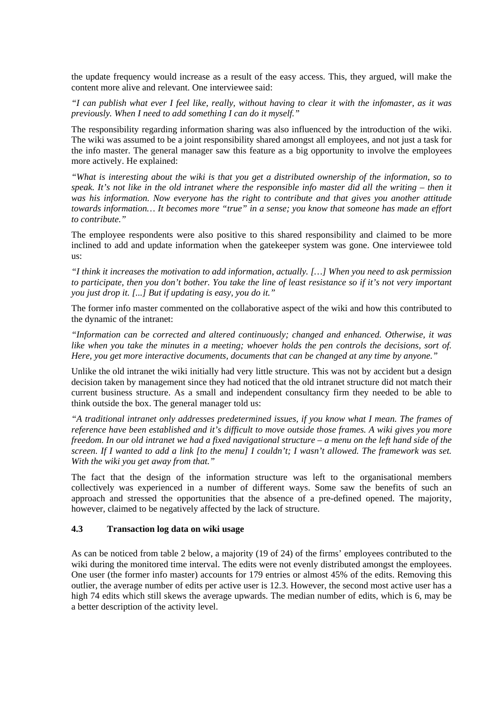the update frequency would increase as a result of the easy access. This, they argued, will make the content more alive and relevant. One interviewee said:

*"I can publish what ever I feel like, really, without having to clear it with the infomaster, as it was previously. When I need to add something I can do it myself."* 

The responsibility regarding information sharing was also influenced by the introduction of the wiki. The wiki was assumed to be a joint responsibility shared amongst all employees, and not just a task for the info master. The general manager saw this feature as a big opportunity to involve the employees more actively. He explained:

*"What is interesting about the wiki is that you get a distributed ownership of the information, so to speak. It's not like in the old intranet where the responsible info master did all the writing – then it was his information. Now everyone has the right to contribute and that gives you another attitude towards information… It becomes more "true" in a sense; you know that someone has made an effort to contribute."* 

The employee respondents were also positive to this shared responsibility and claimed to be more inclined to add and update information when the gatekeeper system was gone. One interviewee told us:

*"I think it increases the motivation to add information, actually. […] When you need to ask permission to participate, then you don't bother. You take the line of least resistance so if it's not very important you just drop it. [...] But if updating is easy, you do it."* 

The former info master commented on the collaborative aspect of the wiki and how this contributed to the dynamic of the intranet:

*"Information can be corrected and altered continuously; changed and enhanced. Otherwise, it was*  like when you take the minutes in a meeting; whoever holds the pen controls the decisions, sort of. *Here, you get more interactive documents, documents that can be changed at any time by anyone."* 

Unlike the old intranet the wiki initially had very little structure. This was not by accident but a design decision taken by management since they had noticed that the old intranet structure did not match their current business structure. As a small and independent consultancy firm they needed to be able to think outside the box. The general manager told us:

*"A traditional intranet only addresses predetermined issues, if you know what I mean. The frames of reference have been established and it's difficult to move outside those frames. A wiki gives you more freedom. In our old intranet we had a fixed navigational structure – a menu on the left hand side of the screen. If I wanted to add a link [to the menu] I couldn't; I wasn't allowed. The framework was set. With the wiki you get away from that."* 

The fact that the design of the information structure was left to the organisational members collectively was experienced in a number of different ways. Some saw the benefits of such an approach and stressed the opportunities that the absence of a pre-defined opened. The majority, however, claimed to be negatively affected by the lack of structure.

#### **4.3 Transaction log data on wiki usage**

As can be noticed from table 2 below, a majority (19 of 24) of the firms' employees contributed to the wiki during the monitored time interval. The edits were not evenly distributed amongst the employees. One user (the former info master) accounts for 179 entries or almost 45% of the edits. Removing this outlier, the average number of edits per active user is 12.3. However, the second most active user has a high 74 edits which still skews the average upwards. The median number of edits, which is 6, may be a better description of the activity level.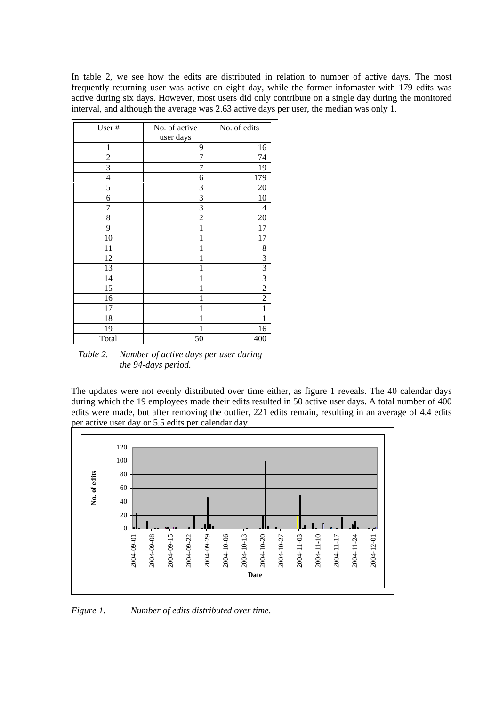In table 2, we see how the edits are distributed in relation to number of active days. The most frequently returning user was active on eight day, while the former infomaster with 179 edits was active during six days. However, most users did only contribute on a single day during the monitored interval, and although the average was 2.63 active days per user, the median was only 1.

| User#                                                                 | No. of active  | No. of edits   |  |  |  |  |  |  |  |
|-----------------------------------------------------------------------|----------------|----------------|--|--|--|--|--|--|--|
|                                                                       | user days      |                |  |  |  |  |  |  |  |
| 1                                                                     | 9              | 16             |  |  |  |  |  |  |  |
| $\overline{c}$                                                        | 7              | 74             |  |  |  |  |  |  |  |
| 3                                                                     | 7              | 19             |  |  |  |  |  |  |  |
| $\overline{4}$                                                        | 6              | 179            |  |  |  |  |  |  |  |
| 5                                                                     | 3              | 20             |  |  |  |  |  |  |  |
| 6                                                                     | 3              | 10             |  |  |  |  |  |  |  |
| 7                                                                     | 3              | 4              |  |  |  |  |  |  |  |
| 8                                                                     | $\overline{2}$ | 20             |  |  |  |  |  |  |  |
| 9                                                                     | 1              | 17             |  |  |  |  |  |  |  |
| 10                                                                    | 1              | 17             |  |  |  |  |  |  |  |
| 11                                                                    | 1              | 8              |  |  |  |  |  |  |  |
| 12                                                                    | 1              | 3              |  |  |  |  |  |  |  |
| 13                                                                    | 1              | 3              |  |  |  |  |  |  |  |
| 14                                                                    | 1              | 3              |  |  |  |  |  |  |  |
| 15                                                                    | 1              | $\overline{2}$ |  |  |  |  |  |  |  |
| 16                                                                    | 1              | $\overline{2}$ |  |  |  |  |  |  |  |
| 17                                                                    | 1              | 1              |  |  |  |  |  |  |  |
| 18                                                                    | 1              | 1              |  |  |  |  |  |  |  |
| 19                                                                    | 1              | 16             |  |  |  |  |  |  |  |
| Total                                                                 | 50             | 400            |  |  |  |  |  |  |  |
| Table 2. Number of active days per user during<br>the 94-days period. |                |                |  |  |  |  |  |  |  |

The updates were not evenly distributed over time either, as figure 1 reveals. The 40 calendar days during which the 19 employees made their edits resulted in 50 active user days. A total number of 400 edits were made, but after removing the outlier, 221 edits remain, resulting in an average of 4.4 edits per active user day or 5.5 edits per calendar day.



*Figure 1. Number of edits distributed over time.*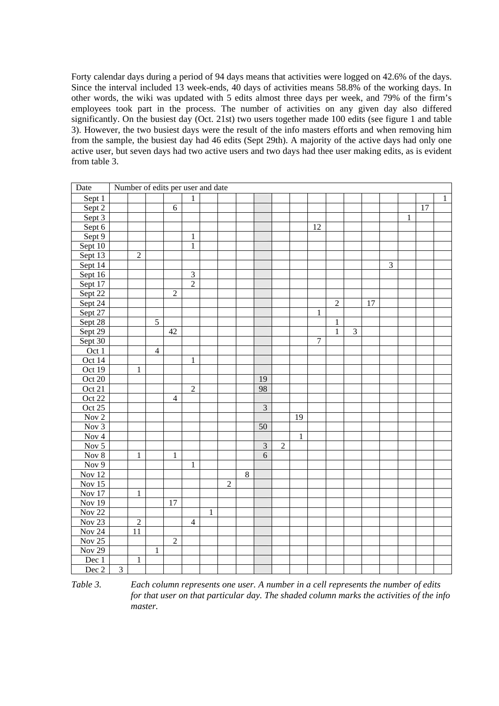Forty calendar days during a period of 94 days means that activities were logged on 42.6% of the days. Since the interval included 13 week-ends, 40 days of activities means 58.8% of the working days. In other words, the wiki was updated with 5 edits almost three days per week, and 79% of the firm's employees took part in the process. The number of activities on any given day also differed significantly. On the busiest day (Oct. 21st) two users together made 100 edits (see figure 1 and table 3). However, the two busiest days were the result of the info masters efforts and when removing him from the sample, the busiest day had 46 edits (Sept 29th). A majority of the active days had only one active user, but seven days had two active users and two days had thee user making edits, as is evident from table 3.

| Date                      | Number of edits per user and date |                |                |                |                |              |                |         |                         |                |              |        |                |                |    |   |   |    |   |
|---------------------------|-----------------------------------|----------------|----------------|----------------|----------------|--------------|----------------|---------|-------------------------|----------------|--------------|--------|----------------|----------------|----|---|---|----|---|
| Sept 1                    |                                   |                |                |                | 1              |              |                |         |                         |                |              |        |                |                |    |   |   |    | 1 |
| Sept 2                    |                                   |                |                | 6              |                |              |                |         |                         |                |              |        |                |                |    |   |   | 17 |   |
| Sept 3                    |                                   |                |                |                |                |              |                |         |                         |                |              |        |                |                |    |   | 1 |    |   |
| Sept 6                    |                                   |                |                |                |                |              |                |         |                         |                |              | 12     |                |                |    |   |   |    |   |
| Sept 9                    |                                   |                |                |                | $\mathbf{1}$   |              |                |         |                         |                |              |        |                |                |    |   |   |    |   |
| Sept 10                   |                                   |                |                |                | $\mathbf{1}$   |              |                |         |                         |                |              |        |                |                |    |   |   |    |   |
| Sept 13                   |                                   | $\sqrt{2}$     |                |                |                |              |                |         |                         |                |              |        |                |                |    |   |   |    |   |
| Sept 14                   |                                   |                |                |                |                |              |                |         |                         |                |              |        |                |                |    | 3 |   |    |   |
| Sept 16                   |                                   |                |                |                | $\overline{3}$ |              |                |         |                         |                |              |        |                |                |    |   |   |    |   |
| Sept $17$                 |                                   |                |                |                | $\overline{2}$ |              |                |         |                         |                |              |        |                |                |    |   |   |    |   |
| Sept 22                   |                                   |                |                | $\overline{2}$ |                |              |                |         |                         |                |              |        |                |                |    |   |   |    |   |
| Sept $24$                 |                                   |                |                |                |                |              |                |         |                         |                |              |        | $\overline{2}$ |                | 17 |   |   |    |   |
| Sept 27                   |                                   |                |                |                |                |              |                |         |                         |                |              | 1      |                |                |    |   |   |    |   |
| Sept 28                   |                                   |                | $\overline{5}$ |                |                |              |                |         |                         |                |              |        | $\mathbf{1}$   |                |    |   |   |    |   |
| Sept 29                   |                                   |                |                | 42             |                |              |                |         |                         |                |              |        | $\mathbf{1}$   | $\mathfrak{Z}$ |    |   |   |    |   |
| Sept 30                   |                                   |                |                |                |                |              |                |         |                         |                |              | $\tau$ |                |                |    |   |   |    |   |
| Oct 1                     |                                   |                | $\overline{4}$ |                |                |              |                |         |                         |                |              |        |                |                |    |   |   |    |   |
| Oct 14                    |                                   |                |                |                | $\mathbf{1}$   |              |                |         |                         |                |              |        |                |                |    |   |   |    |   |
| Oct 19                    |                                   | $\mathbf{1}$   |                |                |                |              |                |         |                         |                |              |        |                |                |    |   |   |    |   |
| Oct 20                    |                                   |                |                |                |                |              |                |         | 19                      |                |              |        |                |                |    |   |   |    |   |
| Oct 21                    |                                   |                |                |                | $\sqrt{2}$     |              |                |         | 98                      |                |              |        |                |                |    |   |   |    |   |
| Oct 22                    |                                   |                |                | $\overline{4}$ |                |              |                |         |                         |                |              |        |                |                |    |   |   |    |   |
| Oct 25                    |                                   |                |                |                |                |              |                |         | $\overline{\mathbf{3}}$ |                |              |        |                |                |    |   |   |    |   |
| Nov 2                     |                                   |                |                |                |                |              |                |         |                         |                | 19           |        |                |                |    |   |   |    |   |
| Nov 3                     |                                   |                |                |                |                |              |                |         | $\overline{50}$         |                |              |        |                |                |    |   |   |    |   |
| Nov 4                     |                                   |                |                |                |                |              |                |         |                         |                | $\mathbf{1}$ |        |                |                |    |   |   |    |   |
| $\overline{Nov\ 5}$       |                                   |                |                |                |                |              |                |         | $\overline{\mathbf{3}}$ | $\overline{c}$ |              |        |                |                |    |   |   |    |   |
| Nov 8                     |                                   | $\mathbf{1}$   |                | $\mathbf{1}$   |                |              |                |         | $\overline{6}$          |                |              |        |                |                |    |   |   |    |   |
| $\overline{\text{Nov }9}$ |                                   |                |                |                | $\mathbf{1}$   |              |                |         |                         |                |              |        |                |                |    |   |   |    |   |
| Nov 12                    |                                   |                |                |                |                |              |                | $\,8\,$ |                         |                |              |        |                |                |    |   |   |    |   |
| Nov $15$                  |                                   |                |                |                |                |              | $\overline{2}$ |         |                         |                |              |        |                |                |    |   |   |    |   |
| Nov $17$                  |                                   | $\,1\,$        |                |                |                |              |                |         |                         |                |              |        |                |                |    |   |   |    |   |
| <b>Nov 19</b>             |                                   |                |                | 17             |                |              |                |         |                         |                |              |        |                |                |    |   |   |    |   |
| Nov $22$                  |                                   |                |                |                |                | $\mathbf{1}$ |                |         |                         |                |              |        |                |                |    |   |   |    |   |
| Nov <sub>23</sub>         |                                   | $\overline{2}$ |                |                | $\overline{4}$ |              |                |         |                         |                |              |        |                |                |    |   |   |    |   |
| <b>Nov 24</b>             |                                   | 11             |                |                |                |              |                |         |                         |                |              |        |                |                |    |   |   |    |   |
| Nov $25$                  |                                   |                |                | $\overline{2}$ |                |              |                |         |                         |                |              |        |                |                |    |   |   |    |   |
| Nov $29$                  |                                   |                | 1              |                |                |              |                |         |                         |                |              |        |                |                |    |   |   |    |   |
| Dec 1                     |                                   | $\mathbf{1}$   |                |                |                |              |                |         |                         |                |              |        |                |                |    |   |   |    |   |
| Dec 2                     | 3                                 |                |                |                |                |              |                |         |                         |                |              |        |                |                |    |   |   |    |   |

*Table 3. Each column represents one user. A number in a cell represents the number of edits for that user on that particular day. The shaded column marks the activities of the info master.*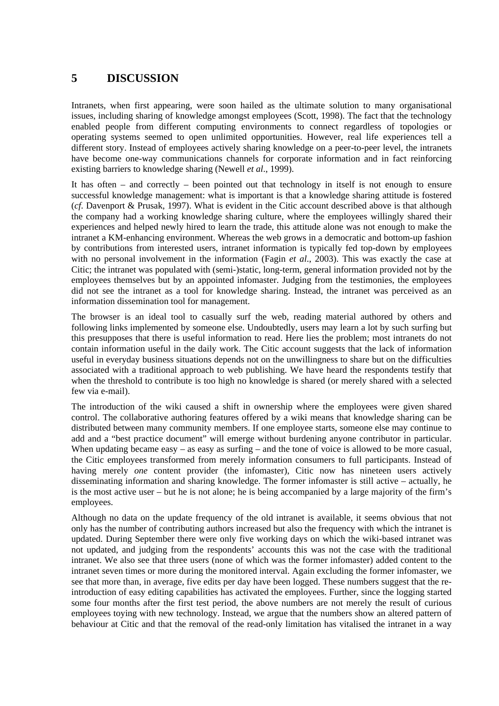### **5 DISCUSSION**

Intranets, when first appearing, were soon hailed as the ultimate solution to many organisational issues, including sharing of knowledge amongst employees (Scott, 1998). The fact that the technology enabled people from different computing environments to connect regardless of topologies or operating systems seemed to open unlimited opportunities. However, real life experiences tell a different story. Instead of employees actively sharing knowledge on a peer-to-peer level, the intranets have become one-way communications channels for corporate information and in fact reinforcing existing barriers to knowledge sharing (Newell *et al*., 1999).

It has often – and correctly – been pointed out that technology in itself is not enough to ensure successful knowledge management: what is important is that a knowledge sharing attitude is fostered (*cf*. Davenport & Prusak, 1997). What is evident in the Citic account described above is that although the company had a working knowledge sharing culture, where the employees willingly shared their experiences and helped newly hired to learn the trade, this attitude alone was not enough to make the intranet a KM-enhancing environment. Whereas the web grows in a democratic and bottom-up fashion by contributions from interested users, intranet information is typically fed top-down by employees with no personal involvement in the information (Fagin *et al*., 2003). This was exactly the case at Citic; the intranet was populated with (semi-)static, long-term, general information provided not by the employees themselves but by an appointed infomaster. Judging from the testimonies, the employees did not see the intranet as a tool for knowledge sharing. Instead, the intranet was perceived as an information dissemination tool for management.

The browser is an ideal tool to casually surf the web, reading material authored by others and following links implemented by someone else. Undoubtedly, users may learn a lot by such surfing but this presupposes that there is useful information to read. Here lies the problem; most intranets do not contain information useful in the daily work. The Citic account suggests that the lack of information useful in everyday business situations depends not on the unwillingness to share but on the difficulties associated with a traditional approach to web publishing. We have heard the respondents testify that when the threshold to contribute is too high no knowledge is shared (or merely shared with a selected few via e-mail).

The introduction of the wiki caused a shift in ownership where the employees were given shared control. The collaborative authoring features offered by a wiki means that knowledge sharing can be distributed between many community members. If one employee starts, someone else may continue to add and a "best practice document" will emerge without burdening anyone contributor in particular. When updating became easy – as easy as surfing – and the tone of voice is allowed to be more casual, the Citic employees transformed from merely information consumers to full participants. Instead of having merely *one* content provider (the infomaster), Citic now has nineteen users actively disseminating information and sharing knowledge. The former infomaster is still active – actually, he is the most active user – but he is not alone; he is being accompanied by a large majority of the firm's employees.

Although no data on the update frequency of the old intranet is available, it seems obvious that not only has the number of contributing authors increased but also the frequency with which the intranet is updated. During September there were only five working days on which the wiki-based intranet was not updated, and judging from the respondents' accounts this was not the case with the traditional intranet. We also see that three users (none of which was the former infomaster) added content to the intranet seven times or more during the monitored interval. Again excluding the former infomaster, we see that more than, in average, five edits per day have been logged. These numbers suggest that the reintroduction of easy editing capabilities has activated the employees. Further, since the logging started some four months after the first test period, the above numbers are not merely the result of curious employees toying with new technology. Instead, we argue that the numbers show an altered pattern of behaviour at Citic and that the removal of the read-only limitation has vitalised the intranet in a way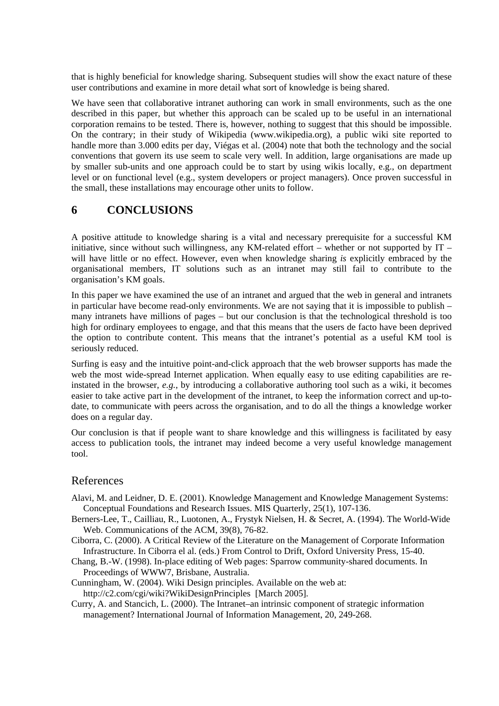that is highly beneficial for knowledge sharing. Subsequent studies will show the exact nature of these user contributions and examine in more detail what sort of knowledge is being shared.

We have seen that collaborative intranet authoring can work in small environments, such as the one described in this paper, but whether this approach can be scaled up to be useful in an international corporation remains to be tested. There is, however, nothing to suggest that this should be impossible. On the contrary; in their study of Wikipedia (www.wikipedia.org), a public wiki site reported to handle more than 3.000 edits per day, Viégas et al. (2004) note that both the technology and the social conventions that govern its use seem to scale very well. In addition, large organisations are made up by smaller sub-units and one approach could be to start by using wikis locally, e.g., on department level or on functional level (e.g., system developers or project managers). Once proven successful in the small, these installations may encourage other units to follow.

#### **6 CONCLUSIONS**

A positive attitude to knowledge sharing is a vital and necessary prerequisite for a successful KM initiative, since without such willingness, any KM-related effort – whether or not supported by IT – will have little or no effect. However, even when knowledge sharing *is* explicitly embraced by the organisational members, IT solutions such as an intranet may still fail to contribute to the organisation's KM goals.

In this paper we have examined the use of an intranet and argued that the web in general and intranets in particular have become read-only environments. We are not saying that it is impossible to publish – many intranets have millions of pages – but our conclusion is that the technological threshold is too high for ordinary employees to engage, and that this means that the users de facto have been deprived the option to contribute content. This means that the intranet's potential as a useful KM tool is seriously reduced.

Surfing is easy and the intuitive point-and-click approach that the web browser supports has made the web the most wide-spread Internet application. When equally easy to use editing capabilities are reinstated in the browser, *e.g.*, by introducing a collaborative authoring tool such as a wiki, it becomes easier to take active part in the development of the intranet, to keep the information correct and up-todate, to communicate with peers across the organisation, and to do all the things a knowledge worker does on a regular day.

Our conclusion is that if people want to share knowledge and this willingness is facilitated by easy access to publication tools, the intranet may indeed become a very useful knowledge management tool.

#### References

- Alavi, M. and Leidner, D. E. (2001). Knowledge Management and Knowledge Management Systems: Conceptual Foundations and Research Issues. MIS Quarterly, 25(1), 107-136.
- Berners-Lee, T., Cailliau, R., Luotonen, A., Frystyk Nielsen, H. & Secret, A. (1994). The World-Wide Web. Communications of the ACM, 39(8), 76-82.
- Ciborra, C. (2000). A Critical Review of the Literature on the Management of Corporate Information Infrastructure. In Ciborra el al. (eds.) From Control to Drift, Oxford University Press, 15-40.
- Chang, B.-W. (1998). In-place editing of Web pages: Sparrow community-shared documents. In Proceedings of WWW7, Brisbane, Australia.
- Cunningham, W. (2004). Wiki Design principles. Available on the web at: http://c2.com/cgi/wiki?WikiDesignPrinciples [March 2005].
- Curry, A. and Stancich, L. (2000). The Intranet–an intrinsic component of strategic information management? International Journal of Information Management, 20, 249-268.